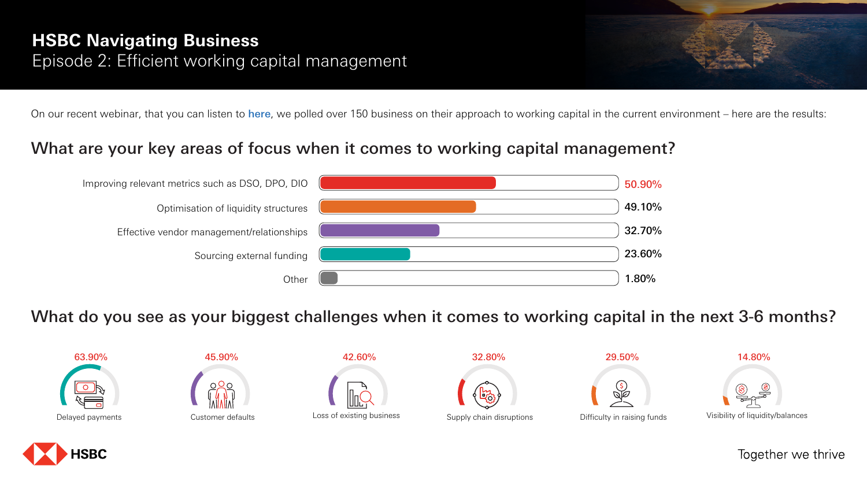### What are your key areas of focus when it comes to working capital management?

What do you see as your biggest challenges when it comes to working capital in the next 3-6 months?

# **HSBC Navigating Business** Episode 2: Efficient working capital management

On our recent webinar, that you can listen to here, we polled over 150 business on their approach to working capital in the current environment – here are the results:

| Improving relevant metrics such as DSO, DPO, DIO | 50.90% |
|--------------------------------------------------|--------|
| Optimisation of liquidity structures             | 49.10% |
| Effective vendor management/relationships        | 32.70% |
| Sourcing external funding                        | 23.60% |
| Other                                            | 1.80%  |



45.90%







42.60%

29.50%



Difficulty in raising funds

Visibility of liquidity/balances

Together we thrive

14.80%



Supply chain disruptions



32.80%